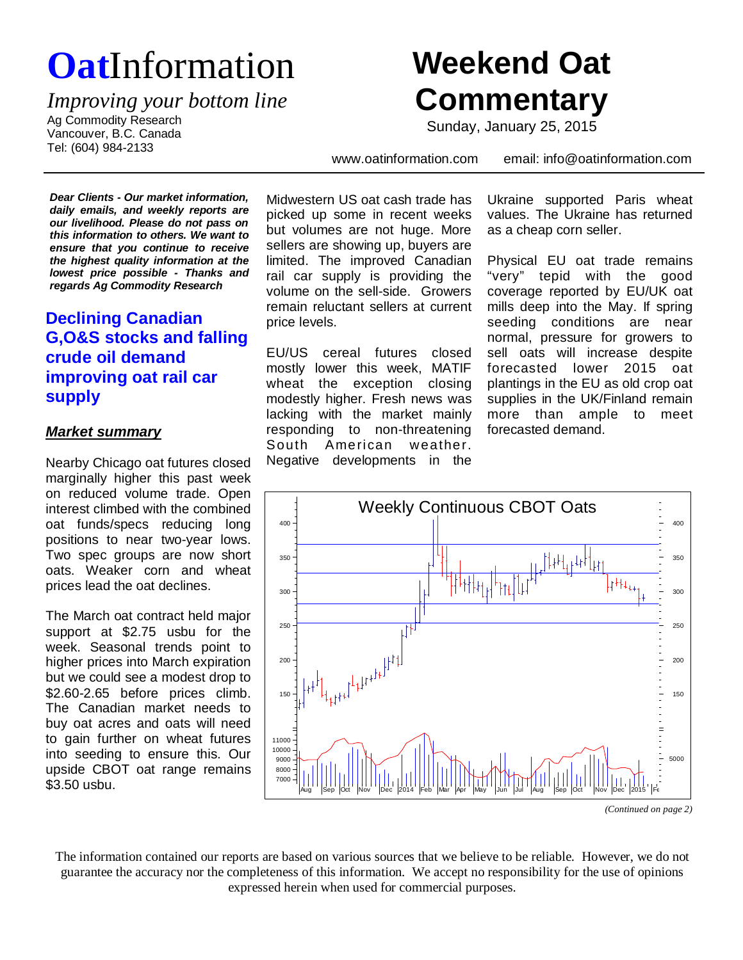# **Oat**Information

*Improving your bottom line*

Ag Commodity Research Vancouver, B.C. Canada Tel: (604) 984-2133

## **Weekend Oat Commentary**

Sunday, January 25, 2015

www.oatinformation.com email: info@oatinformation.com

*Dear Clients - Our market information, daily emails, and weekly reports are our livelihood. Please do not pass on this information to others. We want to ensure that you continue to receive the highest quality information at the lowest price possible - Thanks and regards Ag Commodity Research*

### **Declining Canadian G,O&S stocks and falling crude oil demand improving oat rail car supply**

#### *Market summary*

Nearby Chicago oat futures closed marginally higher this past week on reduced volume trade. Open interest climbed with the combined oat funds/specs reducing long positions to near two-year lows. Two spec groups are now short oats. Weaker corn and wheat prices lead the oat declines.

The March oat contract held major support at \$2.75 usbu for the week. Seasonal trends point to higher prices into March expiration but we could see a modest drop to \$2.60-2.65 before prices climb. The Canadian market needs to buy oat acres and oats will need to gain further on wheat futures into seeding to ensure this. Our upside CBOT oat range remains \$3.50 usbu.

Midwestern US oat cash trade has picked up some in recent weeks but volumes are not huge. More sellers are showing up, buyers are limited. The improved Canadian rail car supply is providing the volume on the sell-side. Growers remain reluctant sellers at current price levels.

EU/US cereal futures closed mostly lower this week, MATIF wheat the exception closing modestly higher. Fresh news was lacking with the market mainly responding to non-threatening South American weather. Negative developments in the Ukraine supported Paris wheat values. The Ukraine has returned as a cheap corn seller.

Physical EU oat trade remains "very" tepid with the good coverage reported by EU/UK oat mills deep into the May. If spring seeding conditions are near normal, pressure for growers to sell oats will increase despite forecasted lower 2015 oat plantings in the EU as old crop oat supplies in the UK/Finland remain more than ample to meet forecasted demand.



The information contained our reports are based on various sources that we believe to be reliable. However, we do not guarantee the accuracy nor the completeness of this information. We accept no responsibility for the use of opinions expressed herein when used for commercial purposes.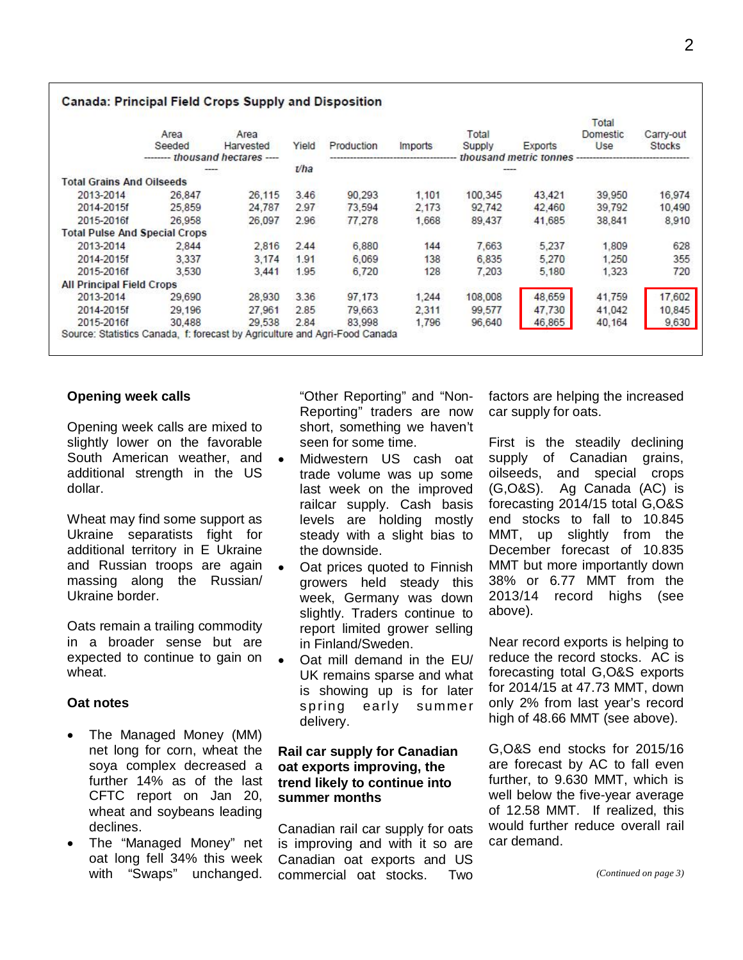|                                      | Area                             | Area      |                        |            |         | Total   |         | Total<br>Domestic | Carry-out |  |
|--------------------------------------|----------------------------------|-----------|------------------------|------------|---------|---------|---------|-------------------|-----------|--|
|                                      | Seeded                           | Harvested | Yield                  | Production | Imports | Supply  | Exports | Use               | Stocks    |  |
|                                      | --------- thousand hectares ---- |           | thousand metric tonnes |            |         |         |         |                   |           |  |
|                                      |                                  |           | $U$ ha                 |            |         |         |         |                   |           |  |
| <b>Total Grains And Oilseeds</b>     |                                  |           |                        |            |         |         |         |                   |           |  |
| 2013-2014                            | 26.847                           | 26,115    | 3.46                   | 90.293     | 1.101   | 100,345 | 43.421  | 39.950            | 16,974    |  |
| 2014-2015f                           | 25,859                           | 24,787    | 2.97                   | 73,594     | 2.173   | 92.742  | 42,460  | 39,792            | 10,490    |  |
| 2015-2016f                           | 26,958                           | 26,097    | 2.96                   | 77,278     | 1,668   | 89,437  | 41,685  | 38,841            | 8,910     |  |
| <b>Total Pulse And Special Crops</b> |                                  |           |                        |            |         |         |         |                   |           |  |
| 2013-2014                            | 2.844                            | 2,816     | 2.44                   | 6,880      | 144     | 7.663   | 5,237   | 1,809             | 628       |  |
| 2014-2015f                           | 3.337                            | 3.174     | 1.91                   | 6.069      | 138     | 6,835   | 5,270   | 1.250             | 355       |  |
| 2015-2016f                           | 3.530                            | 3.441     | 1.95                   | 6,720      | 128     | 7.203   | 5.180   | 1.323             | 720       |  |
| <b>All Principal Field Crops</b>     |                                  |           |                        |            |         |         |         |                   |           |  |
| 2013-2014                            | 29,690                           | 28,930    | 3.36                   | 97.173     | 1.244   | 108,008 | 48,659  | 41,759            | 17,602    |  |
| 2014-2015f                           | 29.196                           | 27.961    | 2.85                   | 79.663     | 2.311   | 99,577  | 47.730  | 41,042            | 10,845    |  |
| 2015-2016f                           | 30,488                           | 29,538    | 2.84                   | 83,998     | 1.796   | 96,640  | 46,865  | 40,164            | 9,630     |  |

#### Canada: Principal Field Crops Supply and Disposition

#### **Opening week calls**

Opening week calls are mixed to slightly lower on the favorable South American weather, and additional strength in the US dollar.

Wheat may find some support as Ukraine separatists fight for additional territory in E Ukraine and Russian troops are again massing along the Russian/ Ukraine border.

Oats remain a trailing commodity in a broader sense but are expected to continue to gain on wheat.

#### **Oat notes**

- The Managed Money (MM) net long for corn, wheat the soya complex decreased a further 14% as of the last CFTC report on Jan 20, wheat and soybeans leading declines.
- The "Managed Money" net oat long fell 34% this week with "Swaps" unchanged.

"Other Reporting" and "Non-Reporting" traders are now short, something we haven't seen for some time.

- Midwestern US cash oat trade volume was up some last week on the improved railcar supply. Cash basis levels are holding mostly steady with a slight bias to the downside.
- Oat prices quoted to Finnish growers held steady this week, Germany was down slightly. Traders continue to report limited grower selling in Finland/Sweden.
- · Oat mill demand in the EU/ UK remains sparse and what is showing up is for later spring early summer delivery.

#### **Rail car supply for Canadian oat exports improving, the trend likely to continue into summer months**

Canadian rail car supply for oats is improving and with it so are Canadian oat exports and US commercial oat stocks. Two factors are helping the increased car supply for oats.

First is the steadily declining supply of Canadian grains, oilseeds, and special crops (G,O&S). Ag Canada (AC) is forecasting 2014/15 total G,O&S end stocks to fall to 10.845 MMT, up slightly from the December forecast of 10.835 MMT but more importantly down 38% or 6.77 MMT from the 2013/14 record highs (see above).

Near record exports is helping to reduce the record stocks. AC is forecasting total G,O&S exports for 2014/15 at 47.73 MMT, down only 2% from last year's record high of 48.66 MMT (see above).

G,O&S end stocks for 2015/16 are forecast by AC to fall even further, to 9.630 MMT, which is well below the five-year average of 12.58 MMT. If realized, this would further reduce overall rail car demand.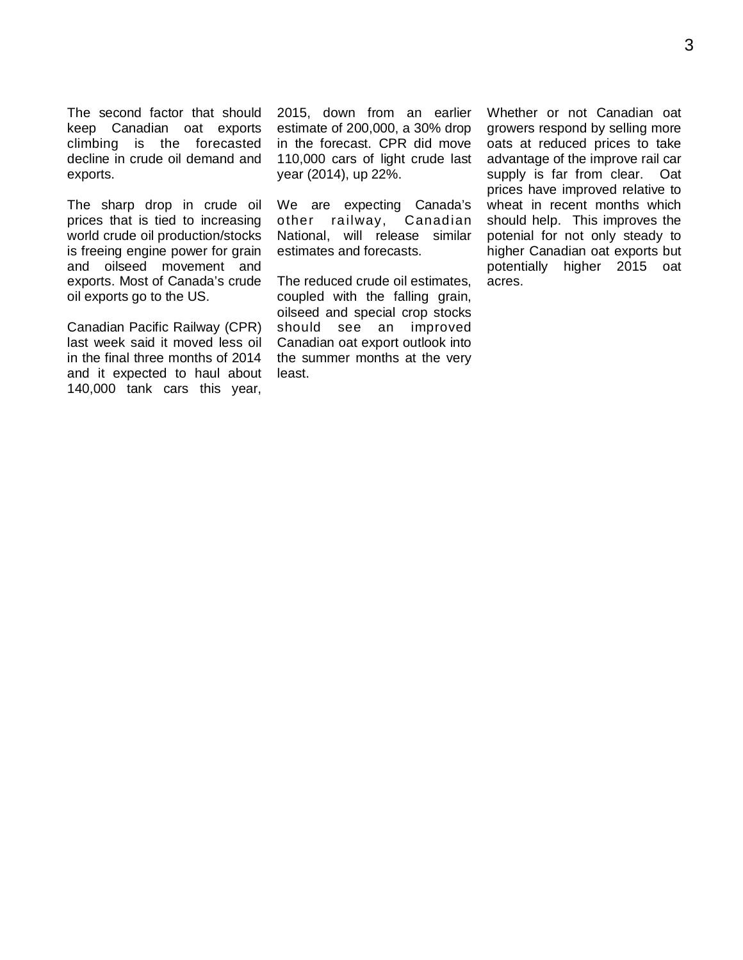The second factor that should keep Canadian oat exports climbing is the forecasted decline in crude oil demand and exports.

The sharp drop in crude oil prices that is tied to increasing world crude oil production/stocks is freeing engine power for grain and oilseed movement and exports. Most of Canada's crude oil exports go to the US.

Canadian Pacific Railway (CPR) last week said it moved less oil in the final three months of 2014 and it expected to haul about 140,000 tank cars this year,

2015, down from an earlier estimate of 200,000, a 30% drop in the forecast. CPR did move 110,000 cars of light crude last year (2014), up 22%.

We are expecting Canada's other railway, Canadian National, will release similar estimates and forecasts.

The reduced crude oil estimates, coupled with the falling grain, oilseed and special crop stocks should see an improved Canadian oat export outlook into the summer months at the very least.

Whether or not Canadian oat growers respond by selling more oats at reduced prices to take advantage of the improve rail car supply is far from clear. Oat prices have improved relative to wheat in recent months which should help. This improves the potenial for not only steady to higher Canadian oat exports but potentially higher 2015 oat acres.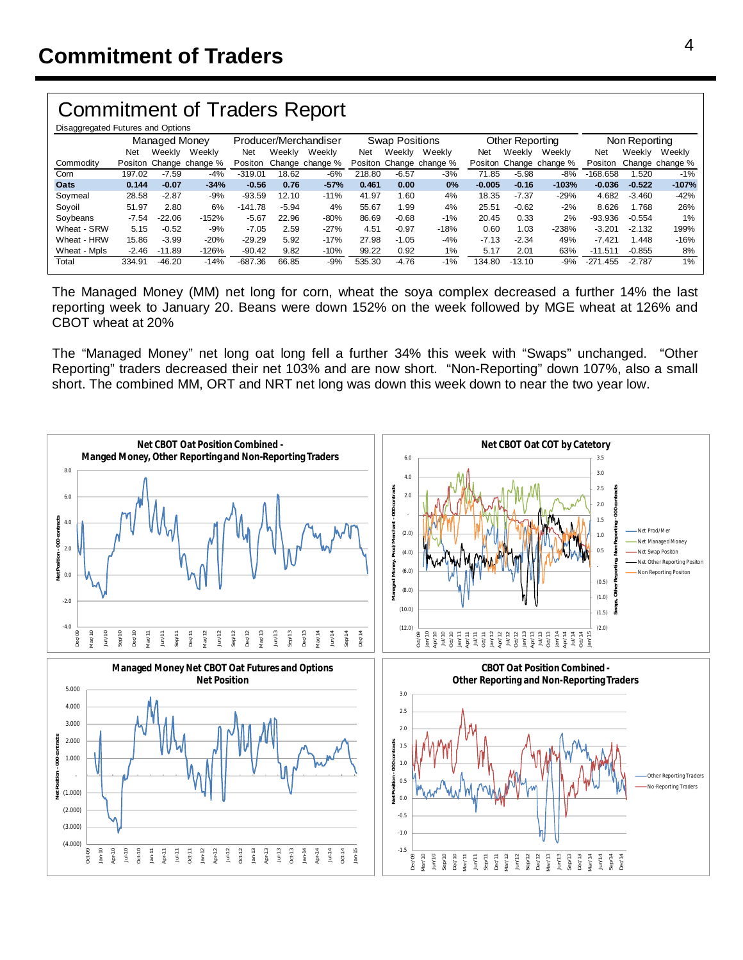## Commitment of Traders Report

| Disaggregated Futures and Options |               |          |                         |                       |         |                 |                       |         |                         |                 |          |                         |               |          |                 |
|-----------------------------------|---------------|----------|-------------------------|-----------------------|---------|-----------------|-----------------------|---------|-------------------------|-----------------|----------|-------------------------|---------------|----------|-----------------|
|                                   | Managed Money |          |                         | Producer/Merchandiser |         |                 | <b>Swap Positions</b> |         |                         | Other Reporting |          |                         | Non Reporting |          |                 |
|                                   | Net           | Weekly   | Weekly                  | Net                   | Weekly  | Weekly          | Net                   | Weekly  | Weekly                  | Net             | Weekly   | Weekly                  | Net           | Weekly   | Weekly          |
| Commodity                         |               |          | Positon Change change % | Positon               |         | Change change % |                       |         | Positon Change change % |                 |          | Positon Change change % | Positon       |          | Change change % |
| Corn                              | 197.02        | $-7.59$  | $-4%$                   | $-319.01$             | 18.62   | -6%             | 218.80                | $-6.57$ | $-3%$                   | 71.85           | $-5.98$  | $-8%$                   | $-168.658$    | 1.520    | $-1%$           |
| Oats                              | 0.144         | $-0.07$  | $-34%$                  | $-0.56$               | 0.76    | $-57%$          | 0.461                 | 0.00    | 0%                      | $-0.005$        | $-0.16$  | $-103%$                 | $-0.036$      | $-0.522$ | $-107%$         |
| Soymeal                           | 28.58         | $-2.87$  | $-9%$                   | $-93.59$              | 12.10   | $-11%$          | 41.97                 | 1.60    | 4%                      | 18.35           | $-7.37$  | $-29%$                  | 4.682         | $-3.460$ | $-42%$          |
| Sovoil                            | 51.97         | 2.80     | 6%                      | $-141.78$             | $-5.94$ | 4%              | 55.67                 | 1.99    | 4%                      | 25.51           | $-0.62$  | $-2%$                   | 8.626         | 1.768    | 26%             |
| Sovbeans                          | $-7.54$       | $-22.06$ | $-152%$                 | $-5.67$               | 22.96   | $-80%$          | 86.69                 | $-0.68$ | $-1%$                   | 20.45           | 0.33     | 2%                      | $-93.936$     | $-0.554$ | 1%              |
| Wheat - SRW                       | 5.15          | $-0.52$  | -9%                     | $-7.05$               | 2.59    | $-27%$          | 4.51                  | $-0.97$ | $-18%$                  | 0.60            | 1.03     | $-238%$                 | $-3.201$      | $-2.132$ | 199%            |
| Wheat - HRW                       | 15.86         | $-3.99$  | $-20%$                  | $-29.29$              | 5.92    | $-17%$          | 27.98                 | $-1.05$ | $-4%$                   | $-7.13$         | $-2.34$  | 49%                     | $-7.421$      | 1.448    | $-16%$          |
| Wheat - Mpls                      | $-2.46$       | $-11.89$ | $-126%$                 | $-90.42$              | 9.82    | $-10%$          | 99.22                 | 0.92    | 1%                      | 5.17            | 2.01     | 63%                     | $-11.511$     | $-0.855$ | 8%              |
| Total                             | 334.91        | $-46.20$ | $-14%$                  | $-687.36$             | 66.85   | $-9%$           | 535.30                | $-4.76$ | $-1%$                   | 134.80          | $-13.10$ | $-9%$                   | $-271.455$    | $-2.787$ | $1\%$           |

The Managed Money (MM) net long for corn, wheat the soya complex decreased a further 14% the last reporting week to January 20. Beans were down 152% on the week followed by MGE wheat at 126% and CBOT wheat at 20%

The "Managed Money" net long oat long fell a further 34% this week with "Swaps" unchanged. "Other Reporting" traders decreased their net 103% and are now short. "Non-Reporting" down 107%, also a small short. The combined MM, ORT and NRT net long was down this week down to near the two year low.